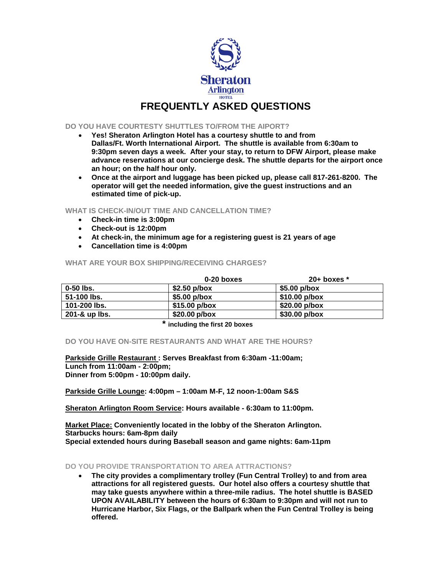

## **FREQUENTLY ASKED QUESTIONS**

## **DO YOU HAVE COURTESTY SHUTTLES TO/FROM THE AIPORT?**

- **Yes! Sheraton Arlington Hotel has a courtesy shuttle to and from Dallas/Ft. Worth International Airport. The shuttle is available from 6:30am to 9:30pm seven days a week. After your stay, to return to DFW Airport, please make advance reservations at our concierge desk. The shuttle departs for the airport once an hour; on the half hour only.**
- **Once at the airport and luggage has been picked up, please call 817-261-8200. The operator will get the needed information, give the guest instructions and an estimated time of pick-up.**

**WHAT IS CHECK-IN/OUT TIME AND CANCELLATION TIME?**

- **Check-in time is 3:00pm**
- **Check-out is 12:00pm**
- **At check-in, the minimum age for a registering guest is 21 years of age**
- **Cancellation time is 4:00pm**

## **0-20 boxes** 20+ boxes 20+ boxes 20-50 lbs. **0-50 lbs. \$2.50 p/box \$5.00 p/box 51-100 lbs. \$5.00 p/box \$10.00 p/box 101-200 lbs. \$15.00 p/box \$20.00 p/box 201-& up lbs. \$20.00 p/box \$30.00 p/box**

**WHAT ARE YOUR BOX SHIPPING/RECEIVING CHARGES?**

**including the first 20 boxes** 

**DO YOU HAVE ON-SITE RESTAURANTS AND WHAT ARE THE HOURS?**

**Parkside Grille Restaurant : Serves Breakfast from 6:30am -11:00am; Lunch from 11:00am - 2:00pm; Dinner from 5:00pm - 10:00pm daily.**

**Parkside Grille Lounge: 4:00pm – 1:00am M-F, 12 noon-1:00am S&S**

**Sheraton Arlington Room Service: Hours available - 6:30am to 11:00pm.**

**Market Place: Conveniently located in the lobby of the Sheraton Arlington. Starbucks hours: 6am-8pm daily Special extended hours during Baseball season and game nights: 6am-11pm**

## **DO YOU PROVIDE TRANSPORTATION TO AREA ATTRACTIONS?**

• **The city provides a complimentary trolley (Fun Central Trolley) to and from area attractions for all registered guests. Our hotel also offers a courtesy shuttle that may take guests anywhere within a three-mile radius. The hotel shuttle is BASED UPON AVAILABILITY between the hours of 6:30am to 9:30pm and will not run to Hurricane Harbor, Six Flags, or the Ballpark when the Fun Central Trolley is being offered.**